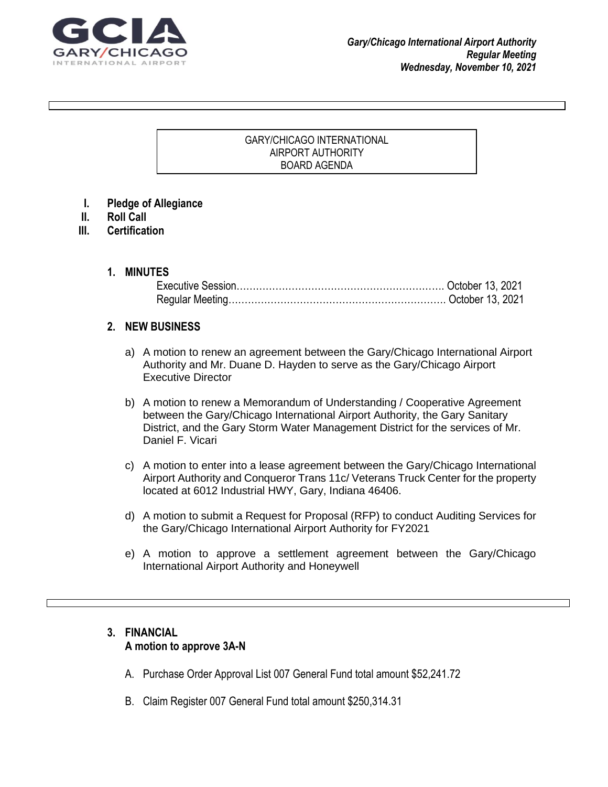

#### GARY/CHICAGO INTERNATIONAL AIRPORT AUTHORITY BOARD AGENDA

 $\Gamma$  grad your reader to attention with a great  $\sigma$  great  $\sigma$  and  $\sigma$  use this space to emphasize and  $\sigma$ 

key point. To place the place this text box anywhere on the page, just drag it. It is the page, just drag it.

- **I. Pledge of Allegiance**
- **II. Roll Call**
- **III. Certification**

### **1. MINUTES**

### **2. NEW BUSINESS**

- a) A motion to renew an agreement between the Gary/Chicago International Airport Authority and Mr. Duane D. Hayden to serve as the Gary/Chicago Airport Executive Director
- b) A motion to renew a Memorandum of Understanding / Cooperative Agreement between the Gary/Chicago International Airport Authority, the Gary Sanitary District, and the Gary Storm Water Management District for the services of Mr. Daniel F. Vicari
- c) A motion to enter into a lease agreement between the Gary/Chicago International Airport Authority and Conqueror Trans 11c/ Veterans Truck Center for the property located at 6012 Industrial HWY, Gary, Indiana 46406.
- d) A motion to submit a Request for Proposal (RFP) to conduct Auditing Services for the Gary/Chicago International Airport Authority for FY2021
- e) A motion to approve a settlement agreement between the Gary/Chicago International Airport Authority and Honeywell

### **3. FINANCIAL A motion to approve 3A-N**

- A. Purchase Order Approval List 007 General Fund total amount \$52,241.72
- B. Claim Register 007 General Fund total amount \$250,314.31